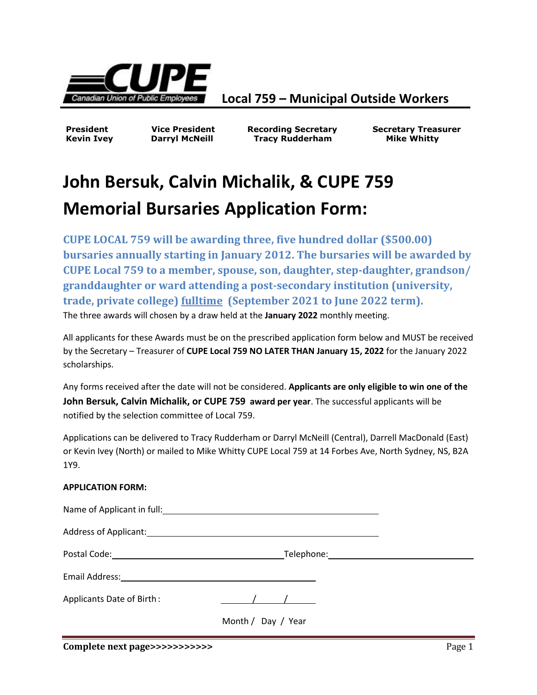

**Local 759 – Municipal Outside Workers**

**President Vice President Recording Secretary Secretary Treasurer** Kevin Ivey **Darryl McNeill Communist Communist Communist Communist Communist Communist Communist Communist Communist Communist Communist Communist Communist Communist Communist Communist Communist Communist Communist Commu** 

## **John Bersuk, Calvin Michalik, & CUPE 759 Memorial Bursaries Application Form:**

**CUPE LOCAL 759 will be awarding three, five hundred dollar (\$500.00) bursaries annually starting in January 2012. The bursaries will be awarded by CUPE Local 759 to a member, spouse, son, daughter, step-daughter, grandson/ granddaughter or ward attending a post-secondary institution (university, trade, private college) fulltime (September 2021 to June 2022 term).** The three awards will chosen by a draw held at the **January 2022** monthly meeting.

All applicants for these Awards must be on the prescribed application form below and MUST be received by the Secretary – Treasurer of **CUPE Local 759 NO LATER THAN January 15, 2022** for the January 2022 scholarships.

Any forms received after the date will not be considered. **Applicants are only eligible to win one of the John Bersuk, Calvin Michalik, or CUPE 759 award per year**. The successful applicants will be notified by the selection committee of Local 759.

Applications can be delivered to Tracy Rudderham or Darryl McNeill (Central), Darrell MacDonald (East) or Kevin Ivey (North) or mailed to Mike Whitty CUPE Local 759 at 14 Forbes Ave, North Sydney, NS, B2A 1Y9.

## **APPLICATION FORM:**

| Name of Applicant in full: Name of Applicant in full:                                                                                                                                                                          |                    |  |
|--------------------------------------------------------------------------------------------------------------------------------------------------------------------------------------------------------------------------------|--------------------|--|
| Address of Applicant: 1996 and 2008 and 2008 and 2008 and 2008 and 2008 and 2008 and 2008 and 2008 and 2008 and 2008 and 2008 and 2008 and 2008 and 2008 and 2008 and 2008 and 2008 and 2008 and 2008 and 2008 and 2008 and 20 |                    |  |
|                                                                                                                                                                                                                                |                    |  |
| Email Address:                                                                                                                                                                                                                 |                    |  |
| Applicants Date of Birth:                                                                                                                                                                                                      |                    |  |
|                                                                                                                                                                                                                                | Month / Day / Year |  |